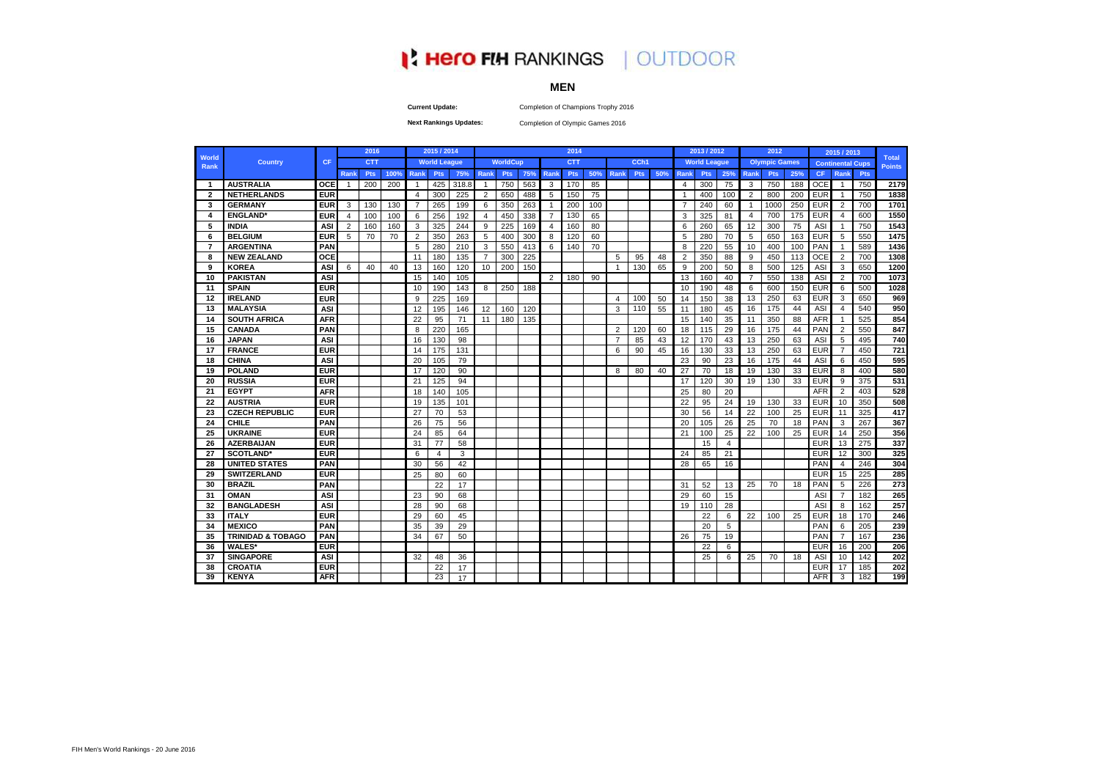## **I' Hero FIH RANKINGS | OUTDOOR**

## **MEN**

Completion of Champions Trophy 2016

**Current Update: Next Rankings Updates:** 

Completion of Olympic Games 2016

|                         |                              |            |      | 2016       |      |                | 2015 / 2014         |       |                |                 |     |                | 2014       |     |                |                  |     |                | 2013 / 2012         |     |                | 2012                 |     |            | 2015 / 2013             |     |                               |
|-------------------------|------------------------------|------------|------|------------|------|----------------|---------------------|-------|----------------|-----------------|-----|----------------|------------|-----|----------------|------------------|-----|----------------|---------------------|-----|----------------|----------------------|-----|------------|-------------------------|-----|-------------------------------|
| <b>World</b><br>Rank    | <b>Country</b>               | <b>CF</b>  |      | <b>CTT</b> |      |                | <b>World League</b> |       |                | <b>WorldCup</b> |     |                | <b>CTT</b> |     |                | CCh <sub>1</sub> |     |                | <b>World League</b> |     |                | <b>Olympic Games</b> |     |            | <b>Continental Cups</b> |     | <b>Total</b><br><b>Points</b> |
|                         |                              |            | Rank | Pts        | 100% | Rank           | Pts                 | 75%   | Rank           | Pts             | 75% | Rank           | Pts        | 50% | <b>Rank</b>    | Pts              | 50% | Rank           | Pts                 | 25% | <b>Rank</b>    | Pts                  | 25% | <b>CF</b>  | <b>Rank</b>             | Pts |                               |
| $\mathbf{1}$            | <b>AUSTRALIA</b>             | <b>OCE</b> |      | 200        | 200  | $\mathbf{1}$   | 425                 | 318.8 | $\overline{1}$ | 750             | 563 | 3              | 170        | 85  |                |                  |     | $\overline{4}$ | 300                 | 75  | 3              | 750                  | 188 | <b>OCE</b> | -1                      | 750 | 2179                          |
| $\overline{\mathbf{2}}$ | <b>NETHERLANDS</b>           | <b>EUR</b> |      |            |      | $\overline{4}$ | 300                 | 225   | 2              | 650             | 488 | 5              | 150        | 75  |                |                  |     | $\overline{1}$ | 400                 | 100 | 2              | 800                  | 200 | <b>EUR</b> | $\overline{1}$          | 750 | 1838                          |
| 3                       | <b>GERMANY</b>               | <b>EUF</b> | 3    | 130        | 130  | $\overline{7}$ | 265                 | 199   | 6              | 350             | 263 | $\mathbf{1}$   | 200        | 100 |                |                  |     | $\overline{7}$ | 240                 | 60  | $\mathbf{1}$   | 1000                 | 250 | <b>EUR</b> | $\overline{2}$          | 700 | 1701                          |
| Δ                       | <b>ENGLAND*</b>              | <b>EUR</b> | 4    | 100        | 100  | 6              | 256                 | 192   | $\overline{4}$ | 450             | 338 | $\overline{7}$ | 130        | 65  |                |                  |     | 3              | 325                 | 81  | 4              | 700                  | 175 | <b>EUR</b> | $\overline{4}$          | 600 | 1550                          |
| 5                       | <b>INDIA</b>                 | ASI        | 2    | 160        | 160  | 3              | 325                 | 244   | 9              | 225             | 169 | $\overline{4}$ | 160        | 80  |                |                  |     | 6              | 260                 | 65  | 12             | 300                  | 75  | ASI        | -1                      | 750 | 1543                          |
| 6                       | <b>BELGIUM</b>               | <b>EUR</b> | 5    | 70         | 70   | $\overline{2}$ | 350                 | 263   | 5              | 400             | 300 | 8              | 120        | 60  |                |                  |     | 5              | 280                 | 70  | 5              | 650                  | 163 | <b>EUR</b> | 5                       | 550 | 1475                          |
| $\overline{7}$          | <b>ARGENTINA</b>             | PAN        |      |            |      | 5              | 280                 | 210   | 3              | 550             | 413 | 6              | 140        | 70  |                |                  |     | 8              | 220                 | 55  | 10             | 400                  | 100 | PAN        | -1                      | 589 | 1436                          |
| 8                       | <b>NEW ZEALAND</b>           | OCE        |      |            |      | 11             | 180                 | 135   | $\overline{7}$ | 300             | 225 |                |            |     | 5              | 95               | 48  | $\overline{2}$ | 350                 | 88  | 9              | 450                  | 113 | <b>OCE</b> | $\overline{2}$          | 700 | 1308                          |
| 9                       | <b>KOREA</b>                 | <b>ASI</b> | 6    | 40         | 40   | 13             | 160                 | 120   | 10             | 200             | 150 |                |            |     | $\overline{1}$ | 130              | 65  | 9              | 200                 | 50  | 8              | 500                  | 125 | ASI        | 3                       | 650 | 1200                          |
| 10                      | <b>PAKISTAN</b>              | <b>AS</b>  |      |            |      | 15             | 140                 | 105   |                |                 |     | $\overline{2}$ | 180        | 90  |                |                  |     | 13             | 160                 | 40  | $\overline{7}$ | 550                  | 138 | ASI        | $\overline{2}$          | 700 | 1073                          |
| 11                      | <b>SPAIN</b>                 | <b>EUR</b> |      |            |      | 10             | 190                 | 143   | 8              | 250             | 188 |                |            |     |                |                  |     | 10             | 190                 | 48  | 6              | 600                  | 150 | <b>EUR</b> | 6                       | 500 | 1028                          |
| 12                      | <b>IRELAND</b>               | <b>EUR</b> |      |            |      | 9              | 225                 | 169   |                |                 |     |                |            |     | $\overline{4}$ | 100              | 50  | 14             | 150                 | 38  | 13             | 250                  | 63  | <b>EUR</b> | 3                       | 650 | 969                           |
| 13                      | <b>MALAYSIA</b>              | <b>ASI</b> |      |            |      | 12             | 195                 | 146   | 12             | 160             | 120 |                |            |     | 3              | 110              | 55  | 11             | 180                 | 45  | 16             | 175                  | 44  | ASI        | $\overline{4}$          | 540 | 950                           |
| 14                      | <b>SOUTH AFRICA</b>          | <b>AFR</b> |      |            |      | 22             | 95                  | 71    | 11             | 180             | 135 |                |            |     |                |                  |     | 15             | 140                 | 35  | 11             | 350                  | 88  | <b>AFR</b> |                         | 525 | 854                           |
| 15                      | <b>CANADA</b>                | PAN        |      |            |      | 8              | 220                 | 165   |                |                 |     |                |            |     | 2              | 120              | 60  | 18             | 115                 | 29  | 16             | 175                  | 44  | PAN        | $\overline{2}$          | 550 | 847                           |
| 16                      | <b>JAPAN</b>                 | <b>AS</b>  |      |            |      | 16             | 130                 | 98    |                |                 |     |                |            |     | 7              | 85               | 43  | 12             | 170                 | 43  | 13             | 250                  | 63  | ASI        | 5                       | 495 | 740                           |
| 17                      | <b>FRANCE</b>                | <b>EUR</b> |      |            |      | 14             | 175                 | 131   |                |                 |     |                |            |     | 6              | 90               | 45  | 16             | 130                 | 33  | 13             | 250                  | 63  | <b>EUR</b> | $\overline{7}$          | 450 | 721                           |
| 18                      | <b>CHINA</b>                 | <b>ASI</b> |      |            |      | 20             | 105                 | 79    |                |                 |     |                |            |     |                |                  |     | 23             | 90                  | 23  | 16             | 175                  | 44  | ASI        | 6                       | 450 | 595                           |
| 19                      | <b>POLAND</b>                | <b>EUR</b> |      |            |      | 17             | 120                 | 90    |                |                 |     |                |            |     | 8              | 80               | 40  | 27             | 70                  | 18  | 19             | 130                  | 33  | <b>EUR</b> | 8                       | 400 | 580                           |
| 20                      | <b>RUSSIA</b>                | <b>EUR</b> |      |            |      | 21             | 125                 | 94    |                |                 |     |                |            |     |                |                  |     | 17             | 120                 | 30  | 19             | 130                  | 33  | <b>EUR</b> | 9                       | 375 | 531                           |
| 21                      | <b>EGYPT</b>                 | <b>AFR</b> |      |            |      | 18             | 140                 | 105   |                |                 |     |                |            |     |                |                  |     | 25             | 80                  | 20  |                |                      |     | <b>AFR</b> | $\overline{2}$          | 403 | 528                           |
| 22                      | <b>AUSTRIA</b>               | <b>EUR</b> |      |            |      | 19             | 135                 | 101   |                |                 |     |                |            |     |                |                  |     | 22             | 95                  | 24  | 19             | 130                  | 33  | <b>EUR</b> | 10                      | 350 | 508                           |
| 23                      | <b>CZECH REPUBLIC</b>        | <b>EUR</b> |      |            |      | 27             | 70                  | 53    |                |                 |     |                |            |     |                |                  |     | 30             | 56                  | 14  | 22             | 100                  | 25  | <b>EUR</b> | 11                      | 325 | 417                           |
| 24                      | <b>CHILE</b>                 | PAN        |      |            |      | 26             | 75                  | 56    |                |                 |     |                |            |     |                |                  |     | 20             | 105                 | 26  | 25             | 70                   | 18  | PAN        | 3                       | 267 | 367                           |
| 25                      | <b>UKRAINE</b>               | <b>EUR</b> |      |            |      | 24             | 85                  | 64    |                |                 |     |                |            |     |                |                  |     | 21             | 100                 | 25  | 22             | 100                  | 25  | <b>EUR</b> | 14                      | 250 | 356                           |
| 26                      | <b>AZERBAIJAN</b>            | <b>EUR</b> |      |            |      | 31             | 77                  | 58    |                |                 |     |                |            |     |                |                  |     |                | 15                  | 4   |                |                      |     | <b>EUR</b> | 13                      | 275 | 337                           |
| 27                      | <b>SCOTLAND</b> *            | <b>EUR</b> |      |            |      | 6              | $\overline{4}$      | 3     |                |                 |     |                |            |     |                |                  |     | 24             | 85                  | 21  |                |                      |     | <b>EUR</b> | 12                      | 300 | 325                           |
| 28                      | <b>UNITED STATES</b>         | PAN        |      |            |      | 30             | 56                  | 42    |                |                 |     |                |            |     |                |                  |     | 28             | 65                  | 16  |                |                      |     | PAN        | $\overline{4}$          | 246 | 304                           |
| 29                      | <b>SWITZERLAND</b>           | <b>EUR</b> |      |            |      | 25             | 80                  | 60    |                |                 |     |                |            |     |                |                  |     |                |                     |     |                |                      |     | EUR        | 15                      | 225 | 285                           |
| 30                      | <b>BRAZIL</b>                | PAN        |      |            |      |                | 22                  | 17    |                |                 |     |                |            |     |                |                  |     | 31             | 52                  | 13  | 25             | 70                   | 18  | PAN        | 5                       | 226 | 273                           |
| 31                      | <b>OMAN</b>                  | <b>AS</b>  |      |            |      | 23             | 90                  | 68    |                |                 |     |                |            |     |                |                  |     | 29             | 60                  | 15  |                |                      |     | ASI        | $\overline{7}$          | 182 | 265                           |
| 32                      | <b>BANGLADESH</b>            | <b>AS</b>  |      |            |      | 28             | 90                  | 68    |                |                 |     |                |            |     |                |                  |     | 19             | 110                 | 28  |                |                      |     | ASI        | 8                       | 162 | 257                           |
| 33                      | <b>ITALY</b>                 | <b>EUF</b> |      |            |      | 29             | 60                  | 45    |                |                 |     |                |            |     |                |                  |     |                | 22                  | 6   | 22             | 100                  | 25  | <b>EUR</b> | 18                      | 170 | 246                           |
| 34                      | <b>MEXICO</b>                | PAN        |      |            |      | 35             | 39                  | 29    |                |                 |     |                |            |     |                |                  |     |                | 20                  | 5   |                |                      |     | PAN        | 6                       | 205 | 239                           |
| 35                      | <b>TRINIDAD &amp; TOBAGO</b> | PAN        |      |            |      | 34             | 67                  | 50    |                |                 |     |                |            |     |                |                  |     | 26             | 75                  | 19  |                |                      |     | PAN        | 7                       | 167 | 236                           |
| 36                      | <b>WALES*</b>                | <b>EUR</b> |      |            |      |                |                     |       |                |                 |     |                |            |     |                |                  |     |                | 22                  | 6   |                |                      |     | EUR        | 16                      | 200 | 206                           |
| 37                      | <b>SINGAPORE</b>             | <b>AS</b>  |      |            |      | 32             | 48                  | 36    |                |                 |     |                |            |     |                |                  |     |                | 25                  | 6   | 25             | 70                   | 18  | ASI        | 10                      | 142 | 202                           |
| 38                      | <b>CROATIA</b>               | <b>EUR</b> |      |            |      |                | 22                  | 17    |                |                 |     |                |            |     |                |                  |     |                |                     |     |                |                      |     | EUR        | 17                      | 185 | 202                           |
| 39                      | <b>KENYA</b>                 | <b>AFR</b> |      |            |      |                | 23                  | 17    |                |                 |     |                |            |     |                |                  |     |                |                     |     |                |                      |     | <b>AFR</b> | 3                       | 182 | 199                           |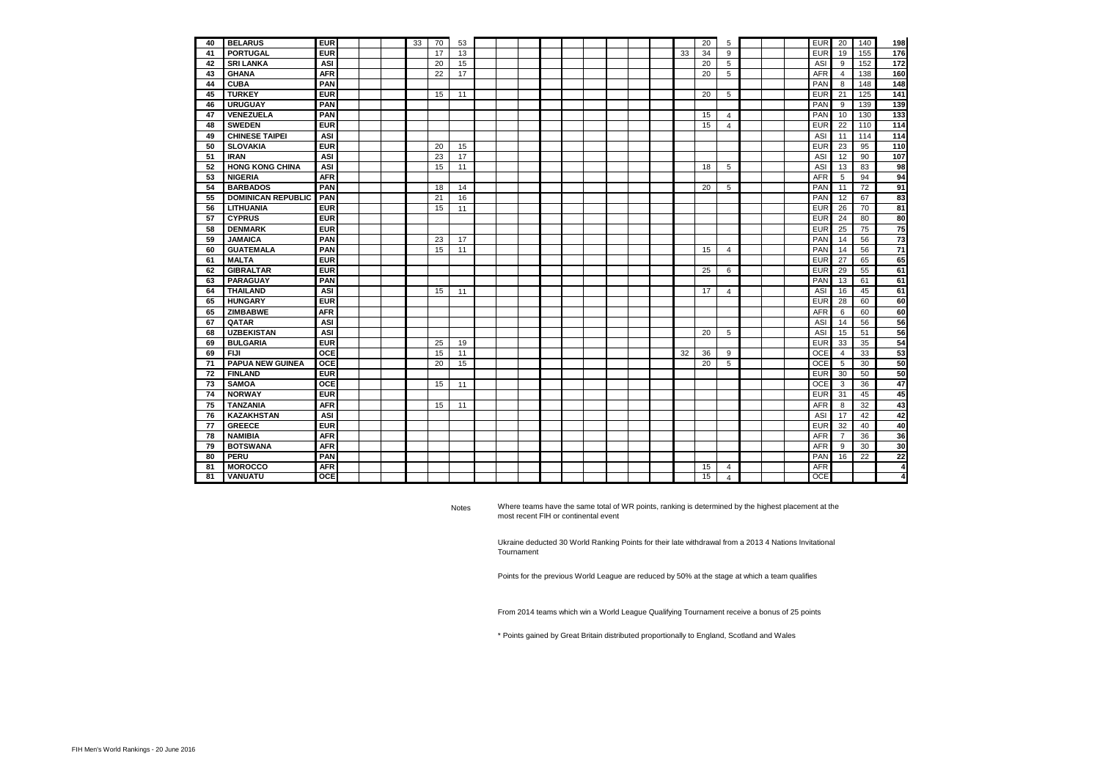| 40 | <b>BELARUS</b>            | <b>EUR</b> |  | 33 | 70 | 53 |  |  |  |  |    | 20 | 5              |  | <b>EUR</b> | 20             | 140 | 198              |
|----|---------------------------|------------|--|----|----|----|--|--|--|--|----|----|----------------|--|------------|----------------|-----|------------------|
| 41 | <b>PORTUGAL</b>           | <b>EUR</b> |  |    | 17 | 13 |  |  |  |  | 33 | 34 | 9              |  | <b>EUR</b> | 19             | 155 | 176              |
| 42 | <b>SRI LANKA</b>          | ASI        |  |    | 20 | 15 |  |  |  |  |    | 20 | 5              |  | ASI        | 9              | 152 | 172              |
| 43 | <b>GHANA</b>              | <b>AFR</b> |  |    | 22 | 17 |  |  |  |  |    | 20 | 5              |  | <b>AFR</b> | $\overline{4}$ | 138 | 160              |
| 44 | <b>CUBA</b>               | PAN        |  |    |    |    |  |  |  |  |    |    |                |  | PAN        | 8              | 148 | 148              |
| 45 | <b>TURKEY</b>             | <b>EUR</b> |  |    | 15 | 11 |  |  |  |  |    | 20 | 5              |  | <b>EUR</b> | 21             | 125 | 141              |
| 46 | <b>URUGUAY</b>            | PAN        |  |    |    |    |  |  |  |  |    |    |                |  | PAN        | 9              | 139 | 139              |
| 47 | <b>VENEZUELA</b>          | PAN        |  |    |    |    |  |  |  |  |    | 15 | $\overline{4}$ |  | PAN        | 10             | 130 | 133              |
| 48 | <b>SWEDEN</b>             | <b>EUR</b> |  |    |    |    |  |  |  |  |    | 15 | $\overline{4}$ |  | EUR        | 22             | 110 | $\overline{114}$ |
| 49 | <b>CHINESE TAIPEI</b>     | ASI        |  |    |    |    |  |  |  |  |    |    |                |  | ASI        | 11             | 114 | 114              |
| 50 | <b>SLOVAKIA</b>           | <b>EUR</b> |  |    | 20 | 15 |  |  |  |  |    |    |                |  | <b>EUR</b> | 23             | 95  | 110              |
| 51 | <b>IRAN</b>               | ASI        |  |    | 23 | 17 |  |  |  |  |    |    |                |  | ASI        | 12             | 90  | 107              |
| 52 | <b>HONG KONG CHINA</b>    | ASI        |  |    | 15 | 11 |  |  |  |  |    | 18 | 5              |  | ASI        | 13             | 83  | 98               |
| 53 | <b>NIGERIA</b>            | <b>AFR</b> |  |    |    |    |  |  |  |  |    |    |                |  | <b>AFR</b> | 5              | 94  | 94               |
| 54 | <b>BARBADOS</b>           | PAN        |  |    | 18 | 14 |  |  |  |  |    | 20 | 5              |  | PAN        | 11             | 72  | 91               |
| 55 | <b>DOMINICAN REPUBLIC</b> | PAN        |  |    | 21 | 16 |  |  |  |  |    |    |                |  | PAN        | 12             | 67  | 83               |
| 56 | <b>LITHUANIA</b>          | <b>EUR</b> |  |    | 15 | 11 |  |  |  |  |    |    |                |  | EUR        | 26             | 70  | 81               |
| 57 | <b>CYPRUS</b>             | <b>EUR</b> |  |    |    |    |  |  |  |  |    |    |                |  | EUR        | 24             | 80  | 80               |
| 58 | <b>DENMARK</b>            | <b>EUR</b> |  |    |    |    |  |  |  |  |    |    |                |  | <b>EUR</b> | 25             | 75  | 75               |
| 59 | <b>JAMAICA</b>            | PAN        |  |    | 23 | 17 |  |  |  |  |    |    |                |  | PAN        | 14             | 56  | $\overline{73}$  |
| 60 | <b>GUATEMALA</b>          | PAN        |  |    | 15 | 11 |  |  |  |  |    | 15 | 4              |  | PAN        | 14             | 56  | $\overline{71}$  |
| 61 | <b>MALTA</b>              | <b>EUR</b> |  |    |    |    |  |  |  |  |    |    |                |  | <b>EUR</b> | 27             | 65  | 65               |
| 62 | <b>GIBRALTAR</b>          | <b>EUR</b> |  |    |    |    |  |  |  |  |    | 25 | 6              |  | <b>EUR</b> | 29             | 55  | 61               |
| 63 | <b>PARAGUAY</b>           | <b>PAN</b> |  |    |    |    |  |  |  |  |    |    |                |  | PAN        | 13             | 61  | 61               |
| 64 | <b>THAILAND</b>           | ASI        |  |    | 15 | 11 |  |  |  |  |    | 17 | 4              |  | ASI        | 16             | 45  | 61               |
| 65 | <b>HUNGARY</b>            | <b>EUR</b> |  |    |    |    |  |  |  |  |    |    |                |  | EUR        | 28             | 60  | 60               |
| 65 | <b>ZIMBABWE</b>           | <b>AFR</b> |  |    |    |    |  |  |  |  |    |    |                |  | AFR        | 6              | 60  | 60               |
| 67 | QATAR                     | ASI        |  |    |    |    |  |  |  |  |    |    |                |  | ASI        | 14             | 56  | 56               |
| 68 | <b>UZBEKISTAN</b>         | <b>ASI</b> |  |    |    |    |  |  |  |  |    | 20 | 5              |  | ASI        | 15             | 51  | 56               |
| 69 | <b>BULGARIA</b>           | <b>EUR</b> |  |    | 25 | 19 |  |  |  |  |    |    |                |  | EUR        | 33             | 35  | 54               |
| 69 | <b>FIJI</b>               | OCE        |  |    | 15 | 11 |  |  |  |  | 32 | 36 | 9              |  | OCE        | $\overline{4}$ | 33  | 53               |
| 71 | <b>PAPUA NEW GUINEA</b>   | OCE        |  |    | 20 | 15 |  |  |  |  |    | 20 | 5              |  | <b>OCE</b> | 5              | 30  | 50               |
| 72 | <b>FINLAND</b>            | <b>EUR</b> |  |    |    |    |  |  |  |  |    |    |                |  | <b>EUR</b> | 30             | 50  | 50               |
| 73 | <b>SAMOA</b>              | OCE        |  |    | 15 | 11 |  |  |  |  |    |    |                |  | <b>OCE</b> | 3              | 36  | 47               |
| 74 | <b>NORWAY</b>             | <b>EUR</b> |  |    |    |    |  |  |  |  |    |    |                |  | <b>EUR</b> | 31             | 45  | 45               |
| 75 | <b>TANZANIA</b>           | <b>AFR</b> |  |    | 15 | 11 |  |  |  |  |    |    |                |  | <b>AFR</b> | 8              | 32  | 43               |
| 76 | <b>KAZAKHSTAN</b>         | ASI        |  |    |    |    |  |  |  |  |    |    |                |  | ASI        | 17             | 42  | 42               |
| 77 | <b>GREECE</b>             | <b>EUR</b> |  |    |    |    |  |  |  |  |    |    |                |  | <b>EUR</b> | 32             | 40  | 40               |
| 78 | <b>NAMIBIA</b>            | <b>AFR</b> |  |    |    |    |  |  |  |  |    |    |                |  | <b>AFR</b> | $\overline{7}$ | 36  | 36               |
| 79 | <b>BOTSWANA</b>           | <b>AFR</b> |  |    |    |    |  |  |  |  |    |    |                |  | <b>AFR</b> | 9              | 30  | 30               |
| 80 | PERU                      | PAN        |  |    |    |    |  |  |  |  |    |    |                |  | PAN        | 16             | 22  | 22               |
| 81 | <b>MOROCCO</b>            | <b>AFR</b> |  |    |    |    |  |  |  |  |    | 15 | 4              |  | <b>AFR</b> |                |     | 4                |
| 81 | <b>VANUATU</b>            | <b>OCE</b> |  |    |    |    |  |  |  |  |    | 15 | $\overline{4}$ |  | <b>OCE</b> |                |     | 4                |

Notes Where teams have the same total of WR points, ranking is determined by the highest placement at the most recent FIH or continental event

> Ukraine deducted 30 World Ranking Points for their late withdrawal from a 2013 4 Nations Invitational Tournament

Points for the previous World League are reduced by 50% at the stage at which a team qualifies

From 2014 teams which win a World League Qualifying Tournament receive a bonus of 25 points

\* Points gained by Great Britain distributed proportionally to England, Scotland and Wales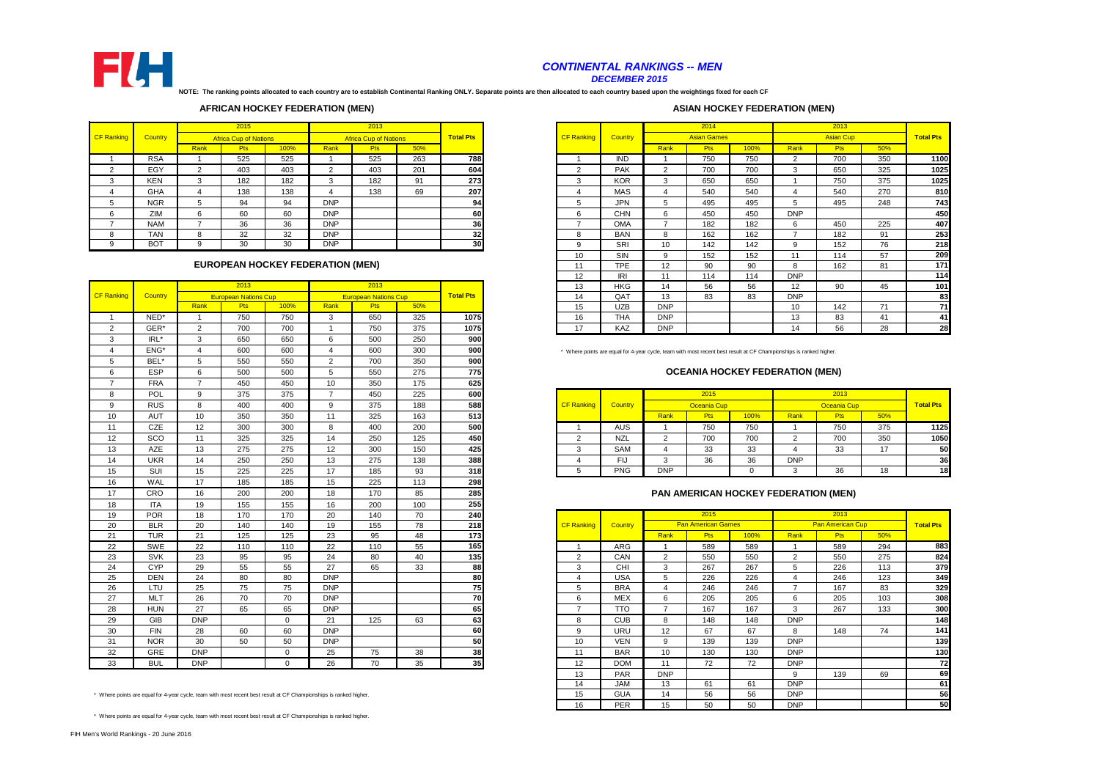

#### *CONTINENTAL RANKINGS -- MEN DECEMBER 2015*

**NOTE: The ranking points allocated to each country are to establish Continental Ranking ONLY. Separate points are then allocated to each country based upon the weightings fixed for each CF** 

#### **AFRICAN HOCKEY FEDERATION (MEN)**

# CF Ranking 2014 Africa Cup of Nations

#### **EUROPEAN HOCKEY FEDERATION (MEN)**

|                |            |                | 2013                        |             |                | 2013                        |     |                  | 13                | <b>HKG</b> | 14             | 56                        | 56       | 12                                                                                                                 | 90                 |  |
|----------------|------------|----------------|-----------------------------|-------------|----------------|-----------------------------|-----|------------------|-------------------|------------|----------------|---------------------------|----------|--------------------------------------------------------------------------------------------------------------------|--------------------|--|
| CF Ranking     | Country    |                | <b>European Nations Cup</b> |             |                | <b>European Nations Cup</b> |     | <b>Total Pts</b> | 14                | QAT        | 13             | 83                        | 83       | <b>DNP</b>                                                                                                         |                    |  |
|                |            | Rank           | Pts                         | 100%        | Rank           | Pts                         | 50% |                  | 15                | <b>UZB</b> | <b>DNP</b>     |                           |          | 10                                                                                                                 | 142                |  |
| $\overline{1}$ | NED*       | $\overline{1}$ | 750                         | 750         | 3              | 650                         | 325 | 1075             | 16                | <b>THA</b> | <b>DNP</b>     |                           |          | 13                                                                                                                 | 83                 |  |
| 2              | GER*       | $\overline{2}$ | 700                         | 700         | $\overline{1}$ | 750                         | 375 | 1075             | 17                | KAZ        | <b>DNP</b>     |                           |          | 14                                                                                                                 | 56                 |  |
| 3              | IRL*       | 3              | 650                         | 650         | 6              | 500                         | 250 | 900              |                   |            |                |                           |          |                                                                                                                    |                    |  |
| $\overline{4}$ | ENG*       | $\overline{4}$ | 600                         | 600         | $\overline{4}$ | 600                         | 300 | 900              |                   |            |                |                           |          | * Where points are equal for 4-year cycle, team with most recent best result at CF Championships is ranked higher. |                    |  |
| 5              | BEL*       | 5              | 550                         | 550         | $\overline{2}$ | 700                         | 350 | 900              |                   |            |                |                           |          |                                                                                                                    |                    |  |
| 6              | <b>ESP</b> | 6              | 500                         | 500         | 5              | 550                         | 275 | 775              |                   |            |                |                           |          | <b>OCEANIA HOCKEY FEDERATION (MEN)</b>                                                                             |                    |  |
| $\overline{7}$ | <b>FRA</b> | $\overline{7}$ | 450                         | 450         | 10             | 350                         | 175 | 625              |                   |            |                |                           |          |                                                                                                                    |                    |  |
| 8              | <b>POL</b> | 9              | 375                         | 375         | $\overline{7}$ | 450                         | 225 | 600              |                   |            |                | 2015                      |          |                                                                                                                    | 2013               |  |
| 9              | <b>RUS</b> | 8              | 400                         | 400         | 9              | 375                         | 188 | 588              | <b>CF Ranking</b> | Country    |                | Oceania Cup               |          |                                                                                                                    | <b>Oceania Cup</b> |  |
| 10             | <b>AUT</b> | 10             | 350                         | 350         | 11             | 325                         | 163 | 513              |                   |            | Rank           | Pts                       | 100%     | Rank                                                                                                               | Pts                |  |
| 11             | CZE        | 12             | 300                         | 300         | 8              | 400                         | 200 | 500              | -1                | <b>AUS</b> | -1             | 750                       | 750      |                                                                                                                    | 750                |  |
| 12             | SCO        | 11             | 325                         | 325         | 14             | 250                         | 125 | 450              | $\overline{2}$    | <b>NZL</b> | $\overline{2}$ | 700                       | 700      | $\overline{2}$                                                                                                     | 700                |  |
| 13             | <b>AZE</b> | 13             | 275                         | 275         | 12             | 300                         | 150 | 425              | 3                 | SAM        | 4              | 33                        | 33       | $\overline{4}$                                                                                                     | 33                 |  |
| 14             | <b>UKR</b> | 14             | 250                         | 250         | 13             | 275                         | 138 | 388              | $\overline{4}$    | <b>FIJ</b> | 3              | 36                        | 36       | <b>DNP</b>                                                                                                         |                    |  |
| 15             | SUI        | 15             | 225                         | 225         | 17             | 185                         | 93  | 318              | 5                 | <b>PNG</b> | <b>DNP</b>     |                           | $\Omega$ | 3                                                                                                                  | 36                 |  |
| 16             | WAL        | 17             | 185                         | 185         | 15             | 225                         | 113 | 298              |                   |            |                |                           |          |                                                                                                                    |                    |  |
| 17             | CRO        | 16             | 200                         | 200         | 18             | 170                         | 85  | 285              |                   |            |                |                           |          | PAN AMERICAN HOCKEY FEDERATION (MEN)                                                                               |                    |  |
| 18             | <b>ITA</b> | 19             | 155                         | 155         | 16             | 200                         | 100 | 255              |                   |            |                |                           |          |                                                                                                                    |                    |  |
| 19             | <b>POR</b> | 18             | 170                         | 170         | 20             | 140                         | 70  | 240              |                   |            |                | 2015                      |          |                                                                                                                    | 2013               |  |
| 20             | <b>BLR</b> | 20             | 140                         | 140         | 19             | 155                         | 78  | 218              | <b>CF Ranking</b> | Country    |                | <b>Pan American Games</b> |          |                                                                                                                    | Pan American Cup   |  |
| 21             | <b>TUR</b> | 21             | 125                         | 125         | 23             | 95                          | 48  | 173              |                   |            | Rank           | Pts                       | 100%     | Rank                                                                                                               | Pts                |  |
| 22             | SWE        | 22             | 110                         | 110         | 22             | 110                         | 55  | 165              | $\overline{1}$    | ARG        | $\overline{1}$ | 589                       | 589      |                                                                                                                    | 589                |  |
| 23             | <b>SVK</b> | 23             | 95                          | 95          | 24             | 80                          | 40  | 135              | $\overline{2}$    | CAN        | 2              | 550                       | 550      | $\overline{2}$                                                                                                     | 550                |  |
| 24             | <b>CYP</b> | 29             | 55                          | 55          | 27             | 65                          | 33  | 88               | 3                 | CHI        | 3              | 267                       | 267      | 5                                                                                                                  | 226                |  |
| 25             | <b>DEN</b> | 24             | 80                          | 80          | <b>DNP</b>     |                             |     | 80               | $\overline{4}$    | <b>USA</b> | 5              | 226                       | 226      | $\overline{4}$                                                                                                     | 246                |  |
| 26             | LTU        | 25             | 75                          | 75          | <b>DNP</b>     |                             |     | 75               | 5                 | <b>BRA</b> | 4              | 246                       | 246      | $\overline{7}$                                                                                                     | 167                |  |
| 27             | <b>MLT</b> | 26             | 70                          | 70          | <b>DNP</b>     |                             |     | 70               | 6                 | <b>MEX</b> | 6              | 205                       | 205      | 6                                                                                                                  | 205                |  |
| 28             | <b>HUN</b> | 27             | 65                          | 65          | <b>DNP</b>     |                             |     | 65               | $\overline{7}$    | <b>TTO</b> | $\overline{7}$ | 167                       | 167      | 3                                                                                                                  | 267                |  |
| 29             | GIB        | <b>DNP</b>     |                             | $\mathbf 0$ | 21             | 125                         | 63  | 63               | 8                 | <b>CUB</b> | 8              | 148                       | 148      | <b>DNP</b>                                                                                                         |                    |  |
| 30             | <b>FIN</b> | 28             | 60                          | 60          | <b>DNP</b>     |                             |     | 60               | 9                 | URU        | 12             | 67                        | 67       | 8                                                                                                                  | 148                |  |
| 31             | <b>NOR</b> | 30             | 50                          | 50          | <b>DNP</b>     |                             |     | 50               | 10                | <b>VEN</b> | 9              | 139                       | 139      | <b>DNP</b>                                                                                                         |                    |  |
| 32             | GRE        | <b>DNP</b>     |                             | $\mathbf 0$ | 25             | 75                          | 38  | 38               | 11                | <b>BAR</b> | 10             | 130                       | 130      | <b>DNP</b>                                                                                                         |                    |  |
| 33             | <b>BUL</b> | <b>DNP</b>     |                             | $\Omega$    | 26             | 70                          | 35  | 35               | 12                | <b>DOM</b> | 11             | 72                        | 72       | <b>DNP</b>                                                                                                         |                    |  |

\* Where points are equal for 4-year cycle, team with most recent best result at CF Championships is ranked higher.

\* Where points are equal for 4-year cycle, team with most recent best result at CF Championships is ranked higher.

#### **ASIAN HOCKEY FEDERATION (MEN)**

|        |            |          | 2015                             |      |                | 2013                         |     |                  |                   |                |                 | 2014               |      |                 | 2013             |     |                  |
|--------|------------|----------|----------------------------------|------|----------------|------------------------------|-----|------------------|-------------------|----------------|-----------------|--------------------|------|-----------------|------------------|-----|------------------|
|        |            |          |                                  |      |                |                              |     |                  |                   |                |                 |                    |      |                 |                  |     |                  |
| anking | Country    |          | <b>Africa Cup of Nations</b>     |      |                | <b>Africa Cup of Nations</b> |     | <b>Total Pts</b> | <b>CF Ranking</b> | <b>Country</b> |                 | <b>Asian Games</b> |      |                 | <b>Asian Cup</b> |     | <b>Total Pts</b> |
|        |            | Rank     | <b>Pts</b>                       | 100% | Rank           | Pts                          | 50% |                  |                   |                | Rank            | <b>Pts</b>         | 100% | Rank            | <b>Pts</b>       | 50% |                  |
|        | <b>RSA</b> |          | 525                              | 525  |                | 525                          | 263 | 788              |                   | <b>IND</b>     |                 | 750                | 750  | $\sim$          | 700              | 350 | 1100             |
|        | EGY        | $\Omega$ | 403                              | 403  | $\overline{2}$ | 403                          | 201 | 604              | $\overline{2}$    | <b>PAK</b>     | $\overline{2}$  | 700                | 700  | 3               | 650              | 325 | 1025             |
|        | <b>KEN</b> | 3        | 182                              | 182  | 3              | 182                          | 91  | 273              | 3                 | <b>KOR</b>     | 3               | 650                | 650  |                 | 750              | 375 | 1025             |
|        | GHA        |          | 138                              | 138  |                | 138                          | 69  | 207              |                   | MAS            | 4               | 540                | 540  |                 | 540              | 270 | 810              |
|        | <b>NGR</b> |          | 94                               | 94   | <b>DNP</b>     |                              |     | 94               | 5                 | <b>JPN</b>     | 5               | 495                | 495  |                 | 495              | 248 | 743              |
| $\sim$ | ZIM        | 6        | 60                               | 60   | <b>DNP</b>     |                              |     | 60               | ĥ                 | <b>CHN</b>     | 6               | 450                | 450  | <b>DNP</b>      |                  |     | 450              |
|        | <b>NAM</b> |          | 36                               | 36   | <b>DNP</b>     |                              |     | 36               |                   | <b>OMA</b>     |                 | 182                | 182  | 6               | 450              | 225 | 407              |
|        | <b>TAN</b> | 8        | 32                               | 32   | <b>DNP</b>     |                              |     | 32               | 8                 | <b>BAN</b>     | 8               | 162                | 162  |                 | 182              | 91  | 253              |
|        | <b>BOT</b> | 9        | 30                               | 30   | <b>DNP</b>     |                              |     | 30               | a                 | SRI            | 10 <sup>1</sup> | 142                | 142  | 9               | 152              | 76  | 218              |
|        |            |          |                                  |      |                |                              |     |                  | 10                | SIN            | 9               | 152                | 152  | 11              | 114              | 57  | 209              |
|        |            |          | EUROPEAN HOCKEY FEDERATION (MEN) |      |                |                              |     |                  | 11                | <b>TPE</b>     | 12              | 90                 | 90   | 8               | 162              | 81  | 171              |
|        |            |          |                                  |      |                |                              |     |                  | 12                | IRI            | 11              | 114                | 114  | <b>DNP</b>      |                  |     | 114              |
|        |            |          | 2013                             |      |                | 2013                         |     |                  | 13                | <b>HKG</b>     | 14              | 56                 | 56   | 12              | 90               | 45  | 101              |
| anking | Country    |          | <b>European Nations Cup</b>      |      |                | <b>European Nations Cup</b>  |     | <b>Total Pts</b> | 14                | OAT            | 13              | 83                 | 83   | <b>DNP</b>      |                  |     | 83               |
|        |            | Rank     | <b>Pts</b>                       | 100% | Rank           | Pts                          | 50% |                  | 15                | <b>UZB</b>     | <b>DNP</b>      |                    |      | 10 <sup>1</sup> | 142              | 71  | 71               |
|        | NED*       |          | 750                              | 750  | 3              | 650                          | 325 | 1075             | 16                | <b>THA</b>     | <b>DNP</b>      |                    |      | 13              | 83               | 41  | 41               |
|        | GER*       |          | 700                              | 700  |                | 750                          | 375 | 1075             | 17                | KAZ            | <b>DNP</b>      |                    |      | 14              | 56               | 28  | 28               |

#### **OCEANIA HOCKEY FEDERATION (MEN)**

|    |            |         |     |     |        | .   |     |      |                   |                |            |             |      |            |                |                         |                  |
|----|------------|---------|-----|-----|--------|-----|-----|------|-------------------|----------------|------------|-------------|------|------------|----------------|-------------------------|------------------|
|    | POL        |         | 375 | 375 |        | 450 | 225 | 600I |                   |                |            | 2015        |      |            | 2013           |                         |                  |
|    | <b>RUS</b> |         | 400 | 400 |        | 375 | 188 | 588  | <b>CF Ranking</b> | <b>Country</b> |            | Oceania Cup |      |            | Oceania Cup    |                         | <b>Total Pts</b> |
| 10 | AUT        | 10      | 350 | 350 |        | 325 | 163 | 513  |                   |                | Rank       | -15         | 100% | Rank       | <b>TIO</b>     | 50%                     |                  |
|    | CZE        | 12<br>۰ | 300 | 300 |        | 400 | 200 | 500  |                   | AUS            |            | 750         | 750  |            | 750            | 375                     | 1125             |
| 12 | SCO        | 11      | 325 | 325 |        | 250 | 125 | 450I |                   | NZL            |            | 700         | 700  |            | 700            | 350                     | 1050             |
| 13 | AZE        | 13      | 275 | 275 | $\sim$ | 300 | 150 | 425  |                   | <b>SAM</b>     |            | $\Omega$    | 33   |            | $\Omega$<br>ഄഄ | $A -$                   | 50               |
| 14 | <b>UKR</b> | 14      | 250 | 250 |        | 275 | 138 | 388  |                   | чJ             |            |             |      | <b>DNP</b> |                |                         | 36               |
| 15 | SUI        | 15      | 225 | 225 |        | 185 | 93  | 318  |                   | <b>PNG</b>     | <b>DNP</b> |             |      |            | 36             | $\Delta$ $\Omega$<br>חו | 18               |

#### **PAN AMERICAN HOCKEY FEDERATION (MEN)**

| 19     | <b>POR</b> | 18         | 170                                                                                                            | 170      | 20         | 140 | 70 | 240 |                   |                |                | 2015                      |      |                | 2013                    |     |                  |
|--------|------------|------------|----------------------------------------------------------------------------------------------------------------|----------|------------|-----|----|-----|-------------------|----------------|----------------|---------------------------|------|----------------|-------------------------|-----|------------------|
| 20     | <b>BLR</b> | 20         | 140                                                                                                            | 140      | 19         | 155 | 78 | 218 | <b>CF Ranking</b> | <b>Country</b> |                | <b>Pan American Games</b> |      |                | <b>Pan American Cup</b> |     | <b>Total Pts</b> |
| 21     | <b>TUR</b> | 21         | 125                                                                                                            | 125      | 23         | 95  | 48 | 173 |                   |                | Rank           | <b>Pts</b>                | 100% | Rank           | <b>Pts</b>              | 50% |                  |
| 22     | <b>SWE</b> | 22         | 110                                                                                                            | 110      | 22         | 110 | 55 | 165 |                   | ARG            |                | 589                       | 589  |                | 589                     | 294 | 883              |
| 23     | <b>SVK</b> | 23         | 95                                                                                                             | 95       | 24         | 80  | 40 | 135 | $\overline{2}$    | CAN            | $\overline{2}$ | 550                       | 550  | $\overline{2}$ | 550                     | 275 | 824              |
| 24     | <b>CYP</b> | 29         | 55                                                                                                             | 55       | 27         | 65  | 33 | 88  | 3                 | <b>CHI</b>     | 3              | 267                       | 267  | 5.             | 226                     | 113 | 379              |
| 25     | <b>DEN</b> | 24         | 80                                                                                                             | 80       | <b>DNP</b> |     |    | 80  |                   | <b>USA</b>     | 5              | 226                       | 226  |                | 246                     | 123 | 349              |
| 26     | <b>LTU</b> | 25         | 75                                                                                                             | 75       | <b>DNP</b> |     |    | 75  |                   | <b>BRA</b>     |                | 246                       | 246  |                | 167                     | 83  | 329              |
| 27     | <b>MLT</b> | 26         | 70                                                                                                             | 70       | <b>DNP</b> |     |    | 70  | 6                 | <b>MEX</b>     | 6              | 205                       | 205  | 6              | 205                     | 103 | 308              |
| 28     | <b>HUN</b> | 27         | 65                                                                                                             | 65       | <b>DNP</b> |     |    | 65  | ۰                 | <b>TTO</b>     | $\rightarrow$  | 167                       | 167  | 3              | 267                     | 133 | 300              |
| 29     | GIB        | <b>DNP</b> |                                                                                                                | $\Omega$ | 21         | 125 | 63 | 63  |                   | <b>CUB</b>     | 8              | 148                       | 148  | <b>DNP</b>     |                         |     | 148              |
| 30     | <b>FIN</b> | 28         | 60                                                                                                             | 60       | <b>DNP</b> |     |    | 60  | 9                 | URU            | 12             | 67                        | 67   |                | 148                     | 74  | 141              |
| $\sim$ | <b>NOR</b> | 30         | 50                                                                                                             | 50       | <b>DNP</b> |     |    | 50  | 10                | <b>VEN</b>     | 9              | 139                       | 139  | <b>DNP</b>     |                         |     | 139              |
| 32     | GRE        | <b>DNP</b> |                                                                                                                | $\Omega$ | 25         | 75  | 38 | 38  | 11                | <b>BAR</b>     | 10             | 130                       | 130  | <b>DNP</b>     |                         |     | 130              |
| 33     | <b>BUL</b> | <b>DNP</b> |                                                                                                                | $\Omega$ | 26         | 70  | 35 | 35  | 12                | <b>DOM</b>     | 11             | 72                        | 72   | <b>DNP</b>     |                         |     | 72               |
|        |            |            |                                                                                                                |          |            |     |    |     | 13                | <b>PAR</b>     | <b>DNP</b>     |                           |      | g              | 139                     | 69  | 69               |
|        |            |            |                                                                                                                |          |            |     |    |     | 14                | <b>JAM</b>     | 13             | 61                        | 61   | <b>DNP</b>     |                         |     | 61               |
|        |            |            | ere points are equal for 4-year cycle, team with most recent best result at CF Championships is ranked higher. |          |            |     |    |     | 15                | <b>GUA</b>     | 14             | 56                        | 56   | <b>DNP</b>     |                         |     | 56               |
|        |            |            |                                                                                                                |          |            |     |    |     | 16                | PER            | 15             | 50                        | 50   | <b>DNP</b>     |                         |     | 50               |